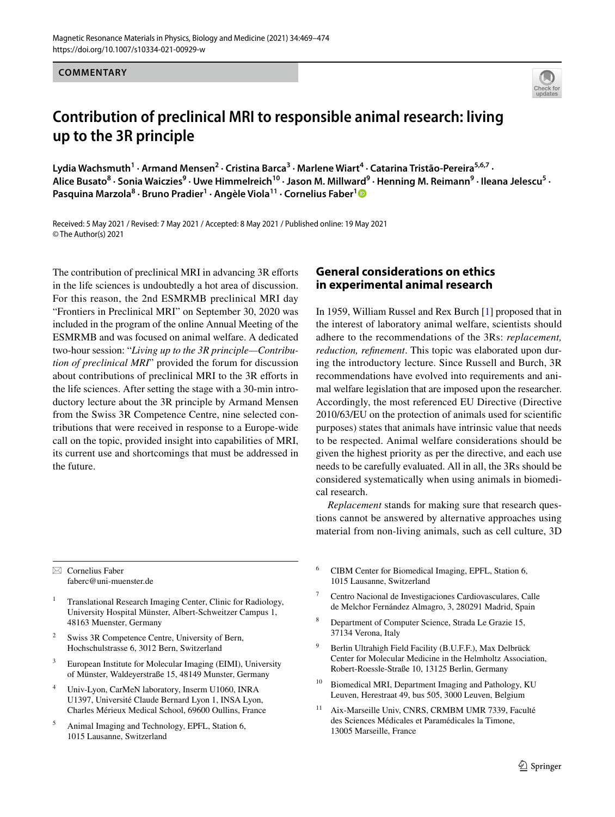**COMMENTARY**



# **Contribution of preclinical MRI to responsible animal research: living up to the 3R principle**

Lydia Wachsmuth<sup>1</sup> · Armand Mensen<sup>2</sup> · Cristina Barca<sup>3</sup> · Marlene Wiart<sup>4</sup> · Catarina Tristão-Pereira<sup>5,6,7</sup> · Alice Busato<sup>8</sup> · Sonia Waiczies<sup>9</sup> · Uwe Himmelreich<sup>10</sup> · Jason M. Millward<sup>9</sup> · Henning M. Reimann<sup>9</sup> · Ileana Jelescu<sup>5</sup> · **Pasquina Marzola<sup>8</sup> · Bruno Pradier1 · Angèle Viola11 · Cornelius Faber[1](http://orcid.org/0000-0001-7683-7710)**

Received: 5 May 2021 / Revised: 7 May 2021 / Accepted: 8 May 2021 / Published online: 19 May 2021 © The Author(s) 2021

The contribution of preclinical MRI in advancing 3R efforts in the life sciences is undoubtedly a hot area of discussion. For this reason, the 2nd ESMRMB preclinical MRI day "Frontiers in Preclinical MRI" on September 30, 2020 was included in the program of the online Annual Meeting of the ESMRMB and was focused on animal welfare. A dedicated two-hour session: "*Living up to the 3R principle—Contribution of preclinical MRI*" provided the forum for discussion about contributions of preclinical MRI to the 3R efforts in the life sciences. After setting the stage with a 30-min introductory lecture about the 3R principle by Armand Mensen from the Swiss 3R Competence Centre, nine selected contributions that were received in response to a Europe-wide call on the topic, provided insight into capabilities of MRI, its current use and shortcomings that must be addressed in the future.

 $\boxtimes$  Cornelius Faber faberc@uni-muenster.de

- <sup>1</sup> Translational Research Imaging Center, Clinic for Radiology, University Hospital Münster, Albert-Schweitzer Campus 1, 48163 Muenster, Germany
- Swiss 3R Competence Centre, University of Bern, Hochschulstrasse 6, 3012 Bern, Switzerland
- <sup>3</sup> European Institute for Molecular Imaging (EIMI), University of Münster, Waldeyerstraße 15, 48149 Munster, Germany
- <sup>4</sup> Univ-Lyon, CarMeN laboratory, Inserm U1060, INRA U1397, Université Claude Bernard Lyon 1, INSA Lyon, Charles Mérieux Medical School, 69600 Oullins, France
- <sup>5</sup> Animal Imaging and Technology, EPFL, Station 6, 1015 Lausanne, Switzerland

### **General considerations on ethics in experimental animal research**

In 1959, William Russel and Rex Burch [[1\]](#page-4-0) proposed that in the interest of laboratory animal welfare, scientists should adhere to the recommendations of the 3Rs: *replacement, reduction, refnement*. This topic was elaborated upon during the introductory lecture. Since Russell and Burch, 3R recommendations have evolved into requirements and animal welfare legislation that are imposed upon the researcher. Accordingly, the most referenced EU Directive (Directive 2010/63/EU on the protection of animals used for scientifc purposes) states that animals have intrinsic value that needs to be respected. Animal welfare considerations should be given the highest priority as per the directive, and each use needs to be carefully evaluated. All in all, the 3Rs should be considered systematically when using animals in biomedical research.

*Replacement* stands for making sure that research questions cannot be answered by alternative approaches using material from non-living animals, such as cell culture, 3D

- <sup>6</sup> CIBM Center for Biomedical Imaging, EPFL, Station 6, 1015 Lausanne, Switzerland
- <sup>7</sup> Centro Nacional de Investigaciones Cardiovasculares, Calle de Melchor Fernández Almagro, 3, 280291 Madrid, Spain
- Department of Computer Science, Strada Le Grazie 15, 37134 Verona, Italy
- <sup>9</sup> Berlin Ultrahigh Field Facility (B.U.F.F.), Max Delbrück Center for Molecular Medicine in the Helmholtz Association, Robert-Roessle-Straße 10, 13125 Berlin, Germany
- <sup>10</sup> Biomedical MRI, Department Imaging and Pathology, KU Leuven, Herestraat 49, bus 505, 3000 Leuven, Belgium
- <sup>11</sup> Aix-Marseille Univ, CNRS, CRMBM UMR 7339, Faculté des Sciences Médicales et Paramédicales la Timone, 13005 Marseille, France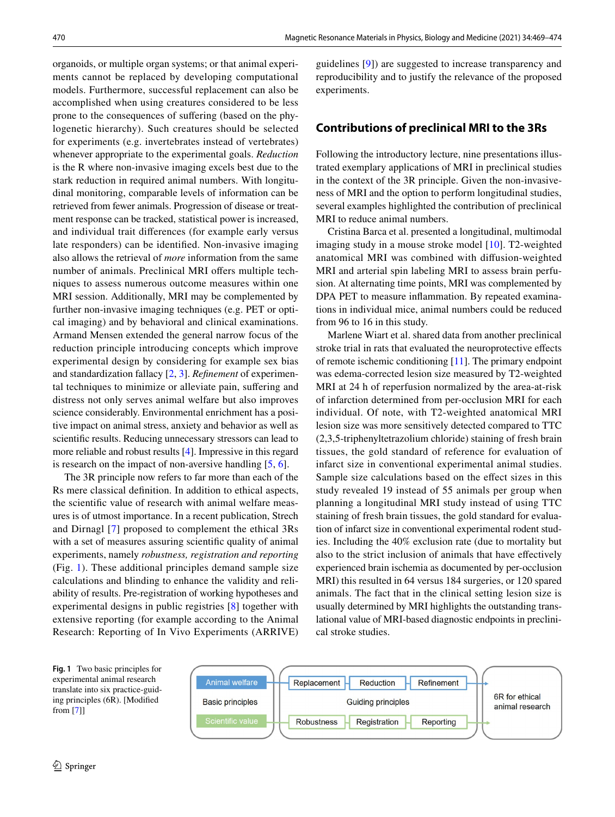organoids, or multiple organ systems; or that animal experiments cannot be replaced by developing computational models. Furthermore, successful replacement can also be accomplished when using creatures considered to be less prone to the consequences of sufering (based on the phylogenetic hierarchy). Such creatures should be selected for experiments (e.g. invertebrates instead of vertebrates) whenever appropriate to the experimental goals. *Reduction* is the R where non-invasive imaging excels best due to the stark reduction in required animal numbers. With longitudinal monitoring, comparable levels of information can be retrieved from fewer animals. Progression of disease or treatment response can be tracked, statistical power is increased, and individual trait diferences (for example early versus late responders) can be identifed. Non-invasive imaging also allows the retrieval of *more* information from the same number of animals. Preclinical MRI offers multiple techniques to assess numerous outcome measures within one MRI session. Additionally, MRI may be complemented by further non-invasive imaging techniques (e.g. PET or optical imaging) and by behavioral and clinical examinations. Armand Mensen extended the general narrow focus of the reduction principle introducing concepts which improve experimental design by considering for example sex bias and standardization fallacy [[2,](#page-4-1) [3](#page-4-2)]. *Refnement* of experimental techniques to minimize or alleviate pain, sufering and distress not only serves animal welfare but also improves science considerably. Environmental enrichment has a positive impact on animal stress, anxiety and behavior as well as scientifc results. Reducing unnecessary stressors can lead to more reliable and robust results [[4\]](#page-4-3). Impressive in this regard is research on the impact of non-aversive handling [\[5](#page-4-4), [6](#page-4-5)].

The 3R principle now refers to far more than each of the Rs mere classical defnition. In addition to ethical aspects, the scientifc value of research with animal welfare measures is of utmost importance. In a recent publication, Strech and Dirnagl [[7\]](#page-4-6) proposed to complement the ethical 3Rs with a set of measures assuring scientifc quality of animal experiments, namely *robustness, registration and reporting* (Fig. [1](#page-1-0)). These additional principles demand sample size calculations and blinding to enhance the validity and reliability of results. Pre-registration of working hypotheses and experimental designs in public registries [[8\]](#page-4-7) together with extensive reporting (for example according to the Animal Research: Reporting of In Vivo Experiments (ARRIVE)

guidelines [\[9\]](#page-4-8)) are suggested to increase transparency and reproducibility and to justify the relevance of the proposed experiments.

#### **Contributions of preclinical MRI to the 3Rs**

Following the introductory lecture, nine presentations illustrated exemplary applications of MRI in preclinical studies in the context of the 3R principle. Given the non-invasiveness of MRI and the option to perform longitudinal studies, several examples highlighted the contribution of preclinical MRI to reduce animal numbers.

Cristina Barca et al. presented a longitudinal, multimodal imaging study in a mouse stroke model [[10\]](#page-4-9). T2-weighted anatomical MRI was combined with difusion-weighted MRI and arterial spin labeling MRI to assess brain perfusion. At alternating time points, MRI was complemented by DPA PET to measure infammation. By repeated examinations in individual mice, animal numbers could be reduced from 96 to 16 in this study.

Marlene Wiart et al. shared data from another preclinical stroke trial in rats that evaluated the neuroprotective efects of remote ischemic conditioning [[11\]](#page-5-0). The primary endpoint was edema-corrected lesion size measured by T2-weighted MRI at 24 h of reperfusion normalized by the area-at-risk of infarction determined from per-occlusion MRI for each individual. Of note, with T2-weighted anatomical MRI lesion size was more sensitively detected compared to TTC (2,3,5-triphenyltetrazolium chloride) staining of fresh brain tissues, the gold standard of reference for evaluation of infarct size in conventional experimental animal studies. Sample size calculations based on the efect sizes in this study revealed 19 instead of 55 animals per group when planning a longitudinal MRI study instead of using TTC staining of fresh brain tissues, the gold standard for evaluation of infarct size in conventional experimental rodent studies. Including the 40% exclusion rate (due to mortality but also to the strict inclusion of animals that have efectively experienced brain ischemia as documented by per-occlusion MRI) this resulted in 64 versus 184 surgeries, or 120 spared animals. The fact that in the clinical setting lesion size is usually determined by MRI highlights the outstanding translational value of MRI-based diagnostic endpoints in preclinical stroke studies.

<span id="page-1-0"></span>**Fig. 1** Two basic principles for experimental animal research translate into six practice-guiding principles (6R). [Modifed from [\[7\]](#page-4-6)]

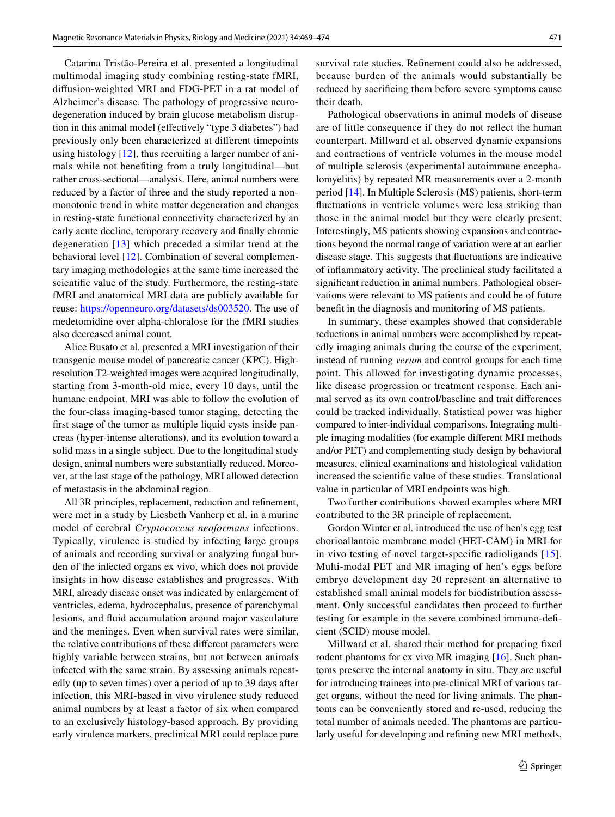Catarina Tristão-Pereira et al. presented a longitudinal multimodal imaging study combining resting-state fMRI, difusion-weighted MRI and FDG-PET in a rat model of Alzheimer's disease. The pathology of progressive neurodegeneration induced by brain glucose metabolism disruption in this animal model (efectively "type 3 diabetes") had previously only been characterized at diferent timepoints using histology [\[12](#page-5-1)], thus recruiting a larger number of animals while not benefting from a truly longitudinal—but rather cross-sectional—analysis. Here, animal numbers were reduced by a factor of three and the study reported a nonmonotonic trend in white matter degeneration and changes in resting-state functional connectivity characterized by an early acute decline, temporary recovery and fnally chronic degeneration [[13\]](#page-5-2) which preceded a similar trend at the behavioral level [[12\]](#page-5-1). Combination of several complementary imaging methodologies at the same time increased the scientifc value of the study. Furthermore, the resting-state fMRI and anatomical MRI data are publicly available for reuse: <https://openneuro.org/datasets/ds003520>. The use of medetomidine over alpha-chloralose for the fMRI studies also decreased animal count.

Alice Busato et al. presented a MRI investigation of their transgenic mouse model of pancreatic cancer (KPC). Highresolution T2-weighted images were acquired longitudinally, starting from 3-month-old mice, every 10 days, until the humane endpoint. MRI was able to follow the evolution of the four-class imaging-based tumor staging, detecting the frst stage of the tumor as multiple liquid cysts inside pancreas (hyper-intense alterations), and its evolution toward a solid mass in a single subject. Due to the longitudinal study design, animal numbers were substantially reduced. Moreover, at the last stage of the pathology, MRI allowed detection of metastasis in the abdominal region.

All 3R principles, replacement, reduction and refnement, were met in a study by Liesbeth Vanherp et al. in a murine model of cerebral *Cryptococcus neoformans* infections. Typically, virulence is studied by infecting large groups of animals and recording survival or analyzing fungal burden of the infected organs ex vivo, which does not provide insights in how disease establishes and progresses. With MRI, already disease onset was indicated by enlargement of ventricles, edema, hydrocephalus, presence of parenchymal lesions, and fuid accumulation around major vasculature and the meninges. Even when survival rates were similar, the relative contributions of these diferent parameters were highly variable between strains, but not between animals infected with the same strain. By assessing animals repeatedly (up to seven times) over a period of up to 39 days after infection, this MRI-based in vivo virulence study reduced animal numbers by at least a factor of six when compared to an exclusively histology-based approach. By providing early virulence markers, preclinical MRI could replace pure survival rate studies. Refnement could also be addressed, because burden of the animals would substantially be reduced by sacrifcing them before severe symptoms cause their death.

Pathological observations in animal models of disease are of little consequence if they do not refect the human counterpart. Millward et al. observed dynamic expansions and contractions of ventricle volumes in the mouse model of multiple sclerosis (experimental autoimmune encephalomyelitis) by repeated MR measurements over a 2-month period [[14\]](#page-5-3). In Multiple Sclerosis (MS) patients, short-term fuctuations in ventricle volumes were less striking than those in the animal model but they were clearly present. Interestingly, MS patients showing expansions and contractions beyond the normal range of variation were at an earlier disease stage. This suggests that fuctuations are indicative of infammatory activity. The preclinical study facilitated a signifcant reduction in animal numbers. Pathological observations were relevant to MS patients and could be of future beneft in the diagnosis and monitoring of MS patients.

In summary, these examples showed that considerable reductions in animal numbers were accomplished by repeatedly imaging animals during the course of the experiment, instead of running *verum* and control groups for each time point. This allowed for investigating dynamic processes, like disease progression or treatment response. Each animal served as its own control/baseline and trait diferences could be tracked individually. Statistical power was higher compared to inter-individual comparisons. Integrating multiple imaging modalities (for example diferent MRI methods and/or PET) and complementing study design by behavioral measures, clinical examinations and histological validation increased the scientifc value of these studies. Translational value in particular of MRI endpoints was high.

Two further contributions showed examples where MRI contributed to the 3R principle of replacement.

Gordon Winter et al. introduced the use of hen's egg test chorioallantoic membrane model (HET-CAM) in MRI for in vivo testing of novel target-specifc radioligands [[15](#page-5-4)]. Multi-modal PET and MR imaging of hen's eggs before embryo development day 20 represent an alternative to established small animal models for biodistribution assessment. Only successful candidates then proceed to further testing for example in the severe combined immuno-defcient (SCID) mouse model.

Millward et al. shared their method for preparing fxed rodent phantoms for ex vivo MR imaging [[16](#page-5-5)]. Such phantoms preserve the internal anatomy in situ. They are useful for introducing trainees into pre-clinical MRI of various target organs, without the need for living animals. The phantoms can be conveniently stored and re-used, reducing the total number of animals needed. The phantoms are particularly useful for developing and refning new MRI methods,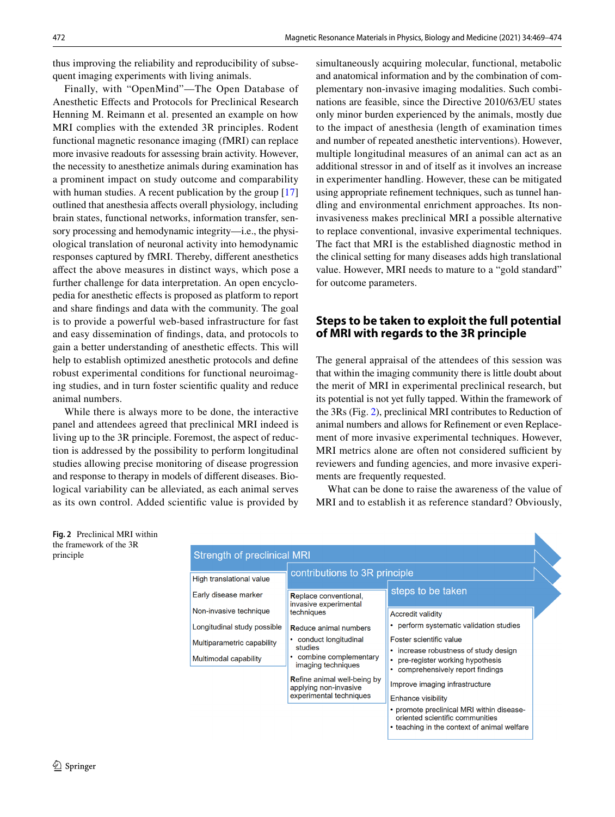thus improving the reliability and reproducibility of subsequent imaging experiments with living animals.

Finally, with "OpenMind"—The Open Database of Anesthetic Efects and Protocols for Preclinical Research Henning M. Reimann et al. presented an example on how MRI complies with the extended 3R principles. Rodent functional magnetic resonance imaging (fMRI) can replace more invasive readouts for assessing brain activity. However, the necessity to anesthetize animals during examination has a prominent impact on study outcome and comparability with human studies. A recent publication by the group [[17\]](#page-5-6) outlined that anesthesia afects overall physiology, including brain states, functional networks, information transfer, sensory processing and hemodynamic integrity—i.e., the physiological translation of neuronal activity into hemodynamic responses captured by fMRI. Thereby, diferent anesthetics afect the above measures in distinct ways, which pose a further challenge for data interpretation. An open encyclopedia for anesthetic efects is proposed as platform to report and share fndings and data with the community. The goal is to provide a powerful web-based infrastructure for fast and easy dissemination of fndings, data, and protocols to gain a better understanding of anesthetic efects. This will help to establish optimized anesthetic protocols and defne robust experimental conditions for functional neuroimaging studies, and in turn foster scientifc quality and reduce animal numbers.

While there is always more to be done, the interactive panel and attendees agreed that preclinical MRI indeed is living up to the 3R principle. Foremost, the aspect of reduction is addressed by the possibility to perform longitudinal studies allowing precise monitoring of disease progression and response to therapy in models of diferent diseases. Biological variability can be alleviated, as each animal serves as its own control. Added scientifc value is provided by simultaneously acquiring molecular, functional, metabolic and anatomical information and by the combination of complementary non-invasive imaging modalities. Such combinations are feasible, since the Directive 2010/63/EU states only minor burden experienced by the animals, mostly due to the impact of anesthesia (length of examination times and number of repeated anesthetic interventions). However, multiple longitudinal measures of an animal can act as an additional stressor in and of itself as it involves an increase in experimenter handling. However, these can be mitigated using appropriate refnement techniques, such as tunnel handling and environmental enrichment approaches. Its noninvasiveness makes preclinical MRI a possible alternative to replace conventional, invasive experimental techniques. The fact that MRI is the established diagnostic method in the clinical setting for many diseases adds high translational value. However, MRI needs to mature to a "gold standard" for outcome parameters.

## **Steps to be taken to exploit the full potential of MRI with regards to the 3R principle**

The general appraisal of the attendees of this session was that within the imaging community there is little doubt about the merit of MRI in experimental preclinical research, but its potential is not yet fully tapped. Within the framework of the 3Rs (Fig. [2](#page-3-0)), preclinical MRI contributes to Reduction of animal numbers and allows for Refnement or even Replacement of more invasive experimental techniques. However, MRI metrics alone are often not considered sufficient by reviewers and funding agencies, and more invasive experiments are frequently requested.

What can be done to raise the awareness of the value of MRI and to establish it as reference standard? Obviously,

N

<span id="page-3-0"></span>**Fig. 2** Preclinical MRI within the framework of the 3R principle

| <b>Strength of preclinical MRI</b>                  |                                                                                        |                                                                                                                                          |
|-----------------------------------------------------|----------------------------------------------------------------------------------------|------------------------------------------------------------------------------------------------------------------------------------------|
| High translational value                            | contributions to 3R principle                                                          |                                                                                                                                          |
| Early disease marker                                | Replace conventional,<br>invasive experimental                                         | steps to be taken                                                                                                                        |
| Non-invasive technique                              | techniques                                                                             | <b>Accredit validity</b>                                                                                                                 |
| Longitudinal study possible                         | <b>Reduce animal numbers</b>                                                           | • perform systematic validation studies                                                                                                  |
| Multiparametric capability<br>Multimodal capability | • conduct longitudinal<br>studies<br>combine complementary<br>imaging techniques       | Foster scientific value<br>• increase robustness of study design<br>pre-register working hypothesis<br>• comprehensively report findings |
|                                                     | <b>Refine animal well-being by</b><br>applying non-invasive<br>experimental techniques | Improve imaging infrastructure<br><b>Enhance visibility</b>                                                                              |
|                                                     |                                                                                        | • promote preclinical MRI within disease-<br>oriented scientific communities<br>• teaching in the context of animal welfare              |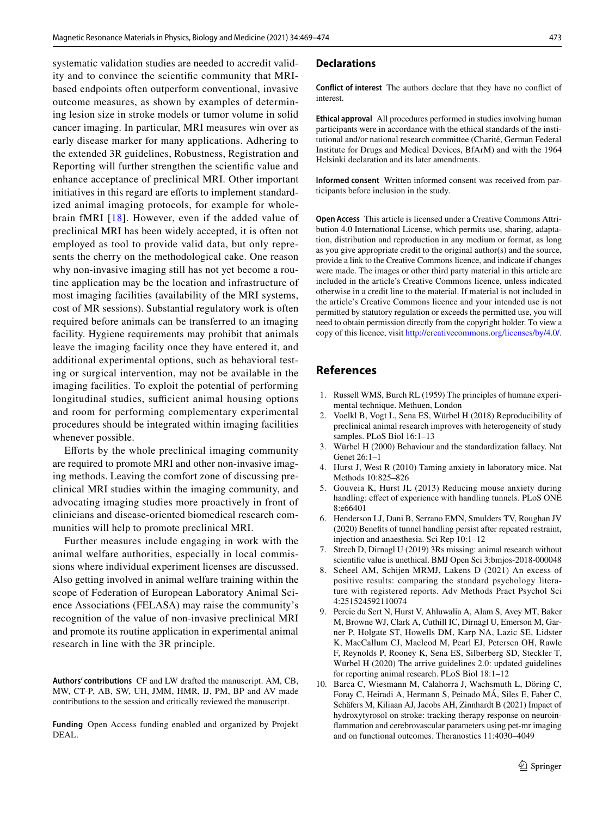systematic validation studies are needed to accredit validity and to convince the scientifc community that MRIbased endpoints often outperform conventional, invasive outcome measures, as shown by examples of determining lesion size in stroke models or tumor volume in solid cancer imaging. In particular, MRI measures win over as early disease marker for many applications. Adhering to the extended 3R guidelines, Robustness, Registration and Reporting will further strengthen the scientifc value and enhance acceptance of preclinical MRI. Other important initiatives in this regard are efforts to implement standardized animal imaging protocols, for example for wholebrain fMRI [[18\]](#page-5-7). However, even if the added value of preclinical MRI has been widely accepted, it is often not employed as tool to provide valid data, but only represents the cherry on the methodological cake. One reason why non-invasive imaging still has not yet become a routine application may be the location and infrastructure of most imaging facilities (availability of the MRI systems, cost of MR sessions). Substantial regulatory work is often required before animals can be transferred to an imaging facility. Hygiene requirements may prohibit that animals leave the imaging facility once they have entered it, and additional experimental options, such as behavioral testing or surgical intervention, may not be available in the imaging facilities. To exploit the potential of performing longitudinal studies, sufficient animal housing options and room for performing complementary experimental procedures should be integrated within imaging facilities whenever possible.

Eforts by the whole preclinical imaging community are required to promote MRI and other non-invasive imaging methods. Leaving the comfort zone of discussing preclinical MRI studies within the imaging community, and advocating imaging studies more proactively in front of clinicians and disease-oriented biomedical research communities will help to promote preclinical MRI.

Further measures include engaging in work with the animal welfare authorities, especially in local commissions where individual experiment licenses are discussed. Also getting involved in animal welfare training within the scope of Federation of European Laboratory Animal Science Associations (FELASA) may raise the community's recognition of the value of non-invasive preclinical MRI and promote its routine application in experimental animal research in line with the 3R principle.

**Authors' contributions** CF and LW drafted the manuscript. AM, CB, MW, CT-P, AB, SW, UH, JMM, HMR, IJ, PM, BP and AV made contributions to the session and critically reviewed the manuscript.

**Funding** Open Access funding enabled and organized by Projekt DEAL.

#### **Declarations**

**Conflict of interest** The authors declare that they have no confict of interest.

**Ethical approval** All procedures performed in studies involving human participants were in accordance with the ethical standards of the institutional and/or national research committee (Charité, German Federal Institute for Drugs and Medical Devices, BfArM) and with the 1964 Helsinki declaration and its later amendments.

**Informed consent** Written informed consent was received from participants before inclusion in the study.

**Open Access** This article is licensed under a Creative Commons Attribution 4.0 International License, which permits use, sharing, adaptation, distribution and reproduction in any medium or format, as long as you give appropriate credit to the original author(s) and the source, provide a link to the Creative Commons licence, and indicate if changes were made. The images or other third party material in this article are included in the article's Creative Commons licence, unless indicated otherwise in a credit line to the material. If material is not included in the article's Creative Commons licence and your intended use is not permitted by statutory regulation or exceeds the permitted use, you will need to obtain permission directly from the copyright holder. To view a copy of this licence, visit<http://creativecommons.org/licenses/by/4.0/>.

#### **References**

- <span id="page-4-0"></span>1. Russell WMS, Burch RL (1959) The principles of humane experimental technique. Methuen, London
- <span id="page-4-1"></span>2. Voelkl B, Vogt L, Sena ES, Würbel H (2018) Reproducibility of preclinical animal research improves with heterogeneity of study samples. PLoS Biol 16:1–13
- <span id="page-4-2"></span>3. Würbel H (2000) Behaviour and the standardization fallacy. Nat Genet 26:1–1
- <span id="page-4-3"></span>4. Hurst J, West R (2010) Taming anxiety in laboratory mice. Nat Methods 10:825–826
- <span id="page-4-4"></span>5. Gouveia K, Hurst JL (2013) Reducing mouse anxiety during handling: effect of experience with handling tunnels. PLoS ONE 8:e66401
- <span id="page-4-5"></span>6. Henderson LJ, Dani B, Serrano EMN, Smulders TV, Roughan JV (2020) Benefts of tunnel handling persist after repeated restraint, injection and anaesthesia. Sci Rep 10:1–12
- <span id="page-4-6"></span>7. Strech D, Dirnagl U (2019) 3Rs missing: animal research without scientifc value is unethical. BMJ Open Sci 3:bmjos-2018-000048
- <span id="page-4-7"></span>8. Scheel AM, Schijen MRMJ, Lakens D (2021) An excess of positive results: comparing the standard psychology literature with registered reports. Adv Methods Pract Psychol Sci 4:251524592110074
- <span id="page-4-8"></span>9. Percie du Sert N, Hurst V, Ahluwalia A, Alam S, Avey MT, Baker M, Browne WJ, Clark A, Cuthill IC, Dirnagl U, Emerson M, Garner P, Holgate ST, Howells DM, Karp NA, Lazic SE, Lidster K, MacCallum CJ, Macleod M, Pearl EJ, Petersen OH, Rawle F, Reynolds P, Rooney K, Sena ES, Silberberg SD, Steckler T, Würbel H (2020) The arrive guidelines 2.0: updated guidelines for reporting animal research. PLoS Biol 18:1–12
- <span id="page-4-9"></span>10. Barca C, Wiesmann M, Calahorra J, Wachsmuth L, Döring C, Foray C, Heiradi A, Hermann S, Peinado MÁ, Siles E, Faber C, Schäfers M, Kiliaan AJ, Jacobs AH, Zinnhardt B (2021) Impact of hydroxytyrosol on stroke: tracking therapy response on neuroinfammation and cerebrovascular parameters using pet-mr imaging and on functional outcomes. Theranostics 11:4030–4049